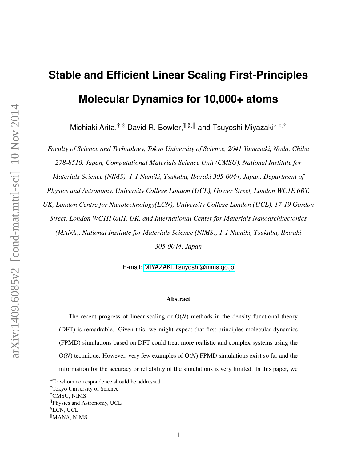# **Stable and Efficient Linear Scaling First-Principles Molecular Dynamics for 10,000+ atoms**

Michiaki Arita,<sup>†,‡</sup> David R. Bowler,<sup>¶,§,∥</sup> and Tsuyoshi Miyazaki<sup>\*,‡,†</sup>

*Faculty of Science and Technology, Tokyo University of Science, 2641 Yamasaki, Noda, Chiba 278-8510, Japan, Computational Materials Science Unit (CMSU), National Institute for Materials Science (NIMS), 1-1 Namiki, Tsukuba, Ibaraki 305-0044, Japan, Department of Physics and Astronomy, University College London (UCL), Gower Street, London WC1E 6BT, UK, London Centre for Nanotechnology(LCN), University College London (UCL), 17-19 Gordon Street, London WC1H 0AH, UK, and International Center for Materials Nanoarchitectonics (MANA), National Institute for Materials Science (NIMS), 1-1 Namiki, Tsukuba, Ibaraki 305-0044, Japan*

E-mail:<MIYAZAKI.Tsuyoshi@nims.go.jp>

#### Abstract

The recent progress of linear-scaling or O(*N*) methods in the density functional theory (DFT) is remarkable. Given this, we might expect that first-principles molecular dynamics (FPMD) simulations based on DFT could treat more realistic and complex systems using the O(*N*) technique. However, very few examples of O(*N*) FPMD simulations exist so far and the information for the accuracy or reliability of the simulations is very limited. In this paper, we

§LCN, UCL

<sup>∗</sup>To whom correspondence should be addressed

<sup>†</sup>Tokyo University of Science

<sup>‡</sup>CMSU, NIMS

<sup>¶</sup>Physics and Astronomy, UCL

 $\mathbb{M}$ ANA, NIMS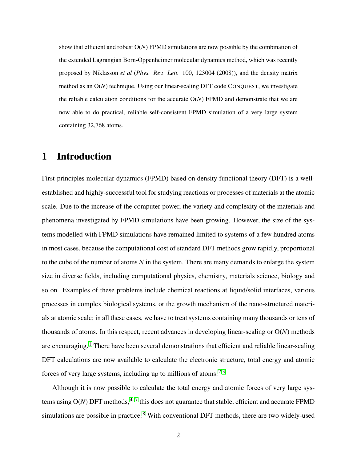show that efficient and robust O(*N*) FPMD simulations are now possible by the combination of the extended Lagrangian Born-Oppenheimer molecular dynamics method, which was recently proposed by Niklasson *et al* (*Phys. Rev. Lett.* 100, 123004 (2008)), and the density matrix method as an O(*N*) technique. Using our linear-scaling DFT code CONQUEST, we investigate the reliable calculation conditions for the accurate O(*N*) FPMD and demonstrate that we are now able to do practical, reliable self-consistent FPMD simulation of a very large system containing 32,768 atoms.

## 1 Introduction

First-principles molecular dynamics (FPMD) based on density functional theory (DFT) is a wellestablished and highly-successful tool for studying reactions or processes of materials at the atomic scale. Due to the increase of the computer power, the variety and complexity of the materials and phenomena investigated by FPMD simulations have been growing. However, the size of the systems modelled with FPMD simulations have remained limited to systems of a few hundred atoms in most cases, because the computational cost of standard DFT methods grow rapidly, proportional to the cube of the number of atoms *N* in the system. There are many demands to enlarge the system size in diverse fields, including computational physics, chemistry, materials science, biology and so on. Examples of these problems include chemical reactions at liquid/solid interfaces, various processes in complex biological systems, or the growth mechanism of the nano-structured materials at atomic scale; in all these cases, we have to treat systems containing many thousands or tens of thousands of atoms. In this respect, recent advances in developing linear-scaling or O(*N*) methods are encouraging.<sup>[1](#page-20-0)</sup> There have been several demonstrations that efficient and reliable linear-scaling DFT calculations are now available to calculate the electronic structure, total energy and atomic forces of very large systems, including up to millions of atoms.<sup>[2,](#page-20-1)[3](#page-20-2)</sup>

Although it is now possible to calculate the total energy and atomic forces of very large systems using  $O(N)$  DFT methods,  $4-7$  $4-7$  this does not guarantee that stable, efficient and accurate FPMD simulations are possible in practice.<sup>[8](#page-20-5)</sup> With conventional DFT methods, there are two widely-used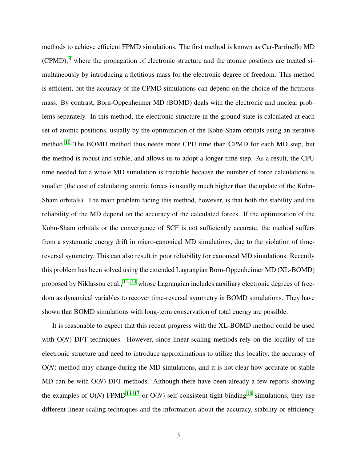methods to achieve efficient FPMD simulations. The first method is known as Car-Parrinello MD  $(CPMD)$ , where the propagation of electronic structure and the atomic positions are treated simultaneously by introducing a fictitious mass for the electronic degree of freedom. This method is efficient, but the accuracy of the CPMD simulations can depend on the choice of the fictitious mass. By contrast, Born-Oppenheimer MD (BOMD) deals with the electronic and nuclear problems separately. In this method, the electronic structure in the ground state is calculated at each set of atomic positions, usually by the optimization of the Kohn-Sham orbitals using an iterative method.[10](#page-21-1) The BOMD method thus needs more CPU time than CPMD for each MD step, but the method is robust and stable, and allows us to adopt a longer time step. As a result, the CPU time needed for a whole MD simulation is tractable because the number of force calculations is smaller (the cost of calculating atomic forces is usually much higher than the update of the Kohn-Sham orbitals). The main problem facing this method, however, is that both the stability and the reliability of the MD depend on the accuracy of the calculated forces. If the optimization of the Kohn-Sham orbitals or the convergence of SCF is not sufficiently accurate, the method suffers from a systematic energy drift in micro-canonical MD simulations, due to the violation of timereversal symmetry. This can also result in poor reliability for canonical MD simulations. Recently this problem has been solved using the extended Lagrangian Born-Oppenheimer MD (XL-BOMD) proposed by Niklasson et al.,  $11-13$  $11-13$  whose Lagrangian includes auxiliary electronic degrees of freedom as dynamical variables to recover time-reversal symmetry in BOMD simulations. They have shown that BOMD simulations with long-term conservation of total energy are possible.

It is reasonable to expect that this recent progress with the XL-BOMD method could be used with O(*N*) DFT techniques. However, since linear-scaling methods rely on the locality of the electronic structure and need to introduce approximations to utilize this locality, the accuracy of O(*N*) method may change during the MD simulations, and it is not clear how accurate or stable MD can be with O(*N*) DFT methods. Although there have been already a few reports showing the examples of  $O(N)$  FPMD<sup>[14–](#page-21-4)[17](#page-21-5)</sup> or  $O(N)$  self-consistent tight-binding<sup>[18](#page-21-6)</sup> simulations, they use different linear scaling techniques and the information about the accuracy, stability or efficiency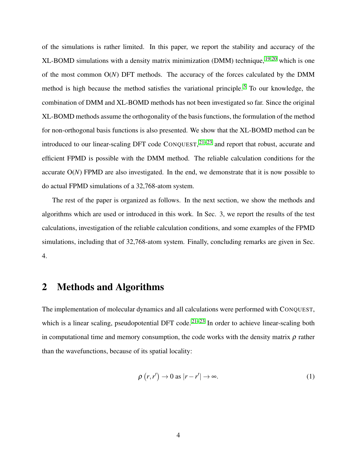of the simulations is rather limited. In this paper, we report the stability and accuracy of the XL-BOMD simulations with a density matrix minimization (DMM) technique,  $19,20$  $19,20$  which is one of the most common O(*N*) DFT methods. The accuracy of the forces calculated by the DMM method is high because the method satisfies the variational principle.<sup>[5](#page-20-6)</sup> To our knowledge, the combination of DMM and XL-BOMD methods has not been investigated so far. Since the original XL-BOMD methods assume the orthogonality of the basis functions, the formulation of the method for non-orthogonal basis functions is also presented. We show that the XL-BOMD method can be introduced to our linear-scaling DFT code  $CONQUEST$ ,  $21-23$  $21-23$  and report that robust, accurate and efficient FPMD is possible with the DMM method. The reliable calculation conditions for the accurate O(*N*) FPMD are also investigated. In the end, we demonstrate that it is now possible to do actual FPMD simulations of a 32,768-atom system.

The rest of the paper is organized as follows. In the next section, we show the methods and algorithms which are used or introduced in this work. In Sec. 3, we report the results of the test calculations, investigation of the reliable calculation conditions, and some examples of the FPMD simulations, including that of 32,768-atom system. Finally, concluding remarks are given in Sec. 4.

## 2 Methods and Algorithms

The implementation of molecular dynamics and all calculations were performed with CONQUEST, which is a linear scaling, pseudopotential DFT code.<sup>[21](#page-21-9)[–23](#page-21-10)</sup> In order to achieve linear-scaling both in computational time and memory consumption, the code works with the density matrix  $\rho$  rather than the wavefunctions, because of its spatial locality:

$$
\rho(r,r') \to 0 \text{ as } |r-r'| \to \infty.
$$
 (1)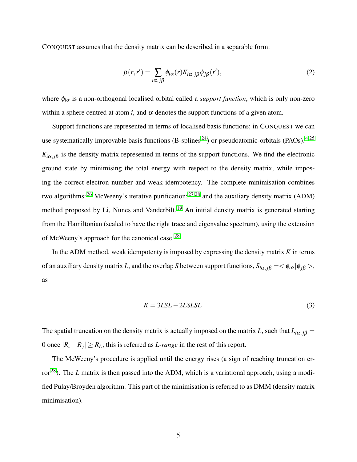CONQUEST assumes that the density matrix can be described in a separable form:

$$
\rho(r,r') = \sum_{i\alpha,j\beta} \phi_{i\alpha}(r) K_{i\alpha,j\beta} \phi_{j\beta}(r'),\tag{2}
$$

where φ*i*<sup>α</sup> is a non-orthogonal localised orbital called a *support function*, which is only non-zero within a sphere centred at atom *i*, and  $\alpha$  denotes the support functions of a given atom.

Support functions are represented in terms of localised basis functions; in CONQUEST we can use systematically improvable basis functions  $(B\text{-splines}^{24})$  $(B\text{-splines}^{24})$  $(B\text{-splines}^{24})$  or pseudoatomic-orbitals (PAOs).<sup>[4,](#page-20-3)[25](#page-22-0)</sup>  $K_{i\alpha,j\beta}$  is the density matrix represented in terms of the support functions. We find the electronic ground state by minimising the total energy with respect to the density matrix, while imposing the correct electron number and weak idempotency. The complete minimisation combines two algorithms:  $^{26}$  $^{26}$  $^{26}$  McWeeny's iterative purification;  $^{27,28}$  $^{27,28}$  $^{27,28}$  $^{27,28}$  and the auxiliary density matrix (ADM) method proposed by Li, Nunes and Vanderbilt.<sup>[19](#page-21-7)</sup> An initial density matrix is generated starting from the Hamiltonian (scaled to have the right trace and eigenvalue spectrum), using the extension of McWeeny's approach for the canonical case.[28](#page-22-3)

In the ADM method, weak idempotenty is imposed by expressing the density matrix *K* in terms of an auxiliary density matrix *L*, and the overlap *S* between support functions,  $S_{i\alpha, j\beta} = \langle \phi_{i\alpha} | \phi_{j\beta} \rangle$ , as

<span id="page-4-0"></span>
$$
K = 3LSL - 2LSLSL \tag{3}
$$

The spatial truncation on the density matrix is actually imposed on the matrix *L*, such that  $L_{i\alpha, j\beta}$  = 0 once  $|R_i - R_j| \ge R_L$ ; this is referred as *L*-range in the rest of this report.

The McWeeny's procedure is applied until the energy rises (a sign of reaching truncation error[28](#page-22-3)). The *L* matrix is then passed into the ADM, which is a variational approach, using a modified Pulay/Broyden algorithm. This part of the minimisation is referred to as DMM (density matrix minimisation).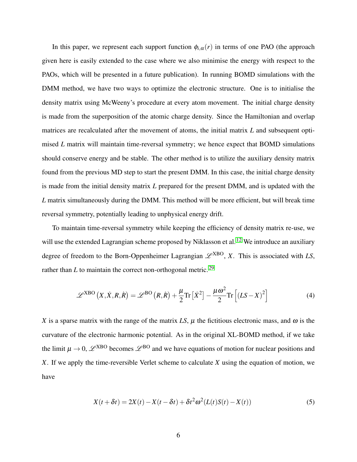In this paper, we represent each support function  $\phi_{i,\alpha}(r)$  in terms of one PAO (the approach given here is easily extended to the case where we also minimise the energy with respect to the PAOs, which will be presented in a future publication). In running BOMD simulations with the DMM method, we have two ways to optimize the electronic structure. One is to initialise the density matrix using McWeeny's procedure at every atom movement. The initial charge density is made from the superposition of the atomic charge density. Since the Hamiltonian and overlap matrices are recalculated after the movement of atoms, the initial matrix *L* and subsequent optimised *L* matrix will maintain time-reversal symmetry; we hence expect that BOMD simulations should conserve energy and be stable. The other method is to utilize the auxiliary density matrix found from the previous MD step to start the present DMM. In this case, the initial charge density is made from the initial density matrix *L* prepared for the present DMM, and is updated with the *L* matrix simultaneously during the DMM. This method will be more efficient, but will break time reversal symmetry, potentially leading to unphysical energy drift.

To maintain time-reversal symmetry while keeping the efficiency of density matrix re-use, we will use the extended Lagrangian scheme proposed by Niklasson et al.<sup>[12](#page-21-12)</sup> We introduce an auxiliary degree of freedom to the Born-Oppenheimer Lagrangian  $\mathscr{L}^{XBO}$ , *X*. This is associated with *LS*, rather than  $L$  to maintain the correct non-orthogonal metric.<sup>[29](#page-22-4)</sup>

<span id="page-5-0"></span>
$$
\mathscr{L}^{XBO}\left(X,\dot{X},R,\dot{R}\right) = \mathscr{L}^{BO}\left(R,\dot{R}\right) + \frac{\mu}{2}\mathrm{Tr}\left[\dot{X}^2\right] - \frac{\mu\omega^2}{2}\mathrm{Tr}\left[\left(LS - X\right)^2\right] \tag{4}
$$

*X* is a sparse matrix with the range of the matrix *LS*,  $\mu$  the fictitious electronic mass, and  $\omega$  is the curvature of the electronic harmonic potential. As in the original XL-BOMD method, if we take the limit  $\mu \to 0$ ,  $\mathscr{L}^{XBO}$  becomes  $\mathscr{L}^{BO}$  and we have equations of motion for nuclear positions and *X*. If we apply the time-reversible Verlet scheme to calculate *X* using the equation of motion, we have

<span id="page-5-1"></span>
$$
X(t + \delta t) = 2X(t) - X(t - \delta t) + {\delta t}^2 \omega^2 (L(t)S(t) - X(t))
$$
\n(5)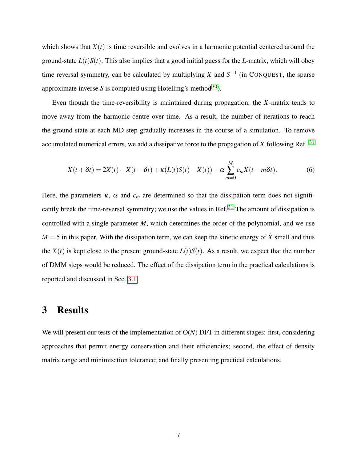which shows that  $X(t)$  is time reversible and evolves in a harmonic potential centered around the ground-state  $L(t)S(t)$ . This also implies that a good initial guess for the *L*-matrix, which will obey time reversal symmetry, can be calculated by multiplying *X* and  $S^{-1}$  (in CONQUEST, the sparse approximate inverse *S* is computed using Hotelling's method<sup>[30](#page-22-5)</sup>).

Even though the time-reversibility is maintained during propagation, the *X*-matrix tends to move away from the harmonic centre over time. As a result, the number of iterations to reach the ground state at each MD step gradually increases in the course of a simulation. To remove accumulated numerical errors, we add a dissipative force to the propagation of  $X$  following Ref.,  $31$ 

$$
X(t+\delta t) = 2X(t) - X(t-\delta t) + \kappa (L(t)S(t) - X(t)) + \alpha \sum_{m=0}^{M} c_m X(t-m\delta t).
$$
 (6)

Here, the parameters  $\kappa$ ,  $\alpha$  and  $c_m$  are determined so that the dissipation term does not signifi-cantly break the time-reversal symmetry; we use the values in Ref.<sup>[31](#page-22-6)</sup> The amount of dissipation is controlled with a single parameter *M*, which determines the order of the polynomial, and we use  $M = 5$  in this paper. With the dissipation term, we can keep the kinetic energy of  $\dot{X}$  small and thus the  $X(t)$  is kept close to the present ground-state  $L(t)S(t)$ . As a result, we expect that the number of DMM steps would be reduced. The effect of the dissipation term in the practical calculations is reported and discussed in Sec. [3.1.](#page-7-0)

## 3 Results

We will present our tests of the implementation of O(*N*) DFT in different stages: first, considering approaches that permit energy conservation and their efficiencies; second, the effect of density matrix range and minimisation tolerance; and finally presenting practical calculations.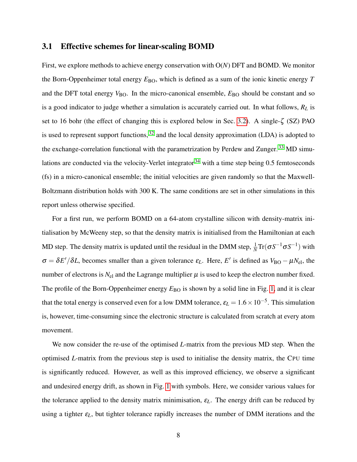### <span id="page-7-0"></span>3.1 Effective schemes for linear-scaling BOMD

First, we explore methods to achieve energy conservation with O(*N*) DFT and BOMD. We monitor the Born-Oppenheimer total energy  $E_{\rm BO}$ , which is defined as a sum of the ionic kinetic energy *T* and the DFT total energy  $V_{BO}$ . In the micro-canonical ensemble,  $E_{BO}$  should be constant and so is a good indicator to judge whether a simulation is accurately carried out. In what follows, *R<sup>L</sup>* is set to 16 bohr (the effect of changing this is explored below in Sec. [3.2\)](#page-9-0). A single-ζ (SZ) PAO is used to represent support functions,  $32$  and the local density approximation (LDA) is adopted to the exchange-correlation functional with the parametrization by Perdew and Zunger.<sup>[33](#page-22-8)</sup> MD simu-lations are conducted via the velocity-Verlet integrator<sup>[34](#page-22-9)</sup> with a time step being 0.5 femtoseconds (fs) in a micro-canonical ensemble; the initial velocities are given randomly so that the Maxwell-Boltzmann distribution holds with 300 K. The same conditions are set in other simulations in this report unless otherwise specified.

For a first run, we perform BOMD on a 64-atom crystalline silicon with density-matrix initialisation by McWeeny step, so that the density matrix is initialised from the Hamiltonian at each MD step. The density matrix is updated until the residual in the DMM step,  $\frac{1}{N}Tr(\sigma S^{-1}\sigma S^{-1})$  with  $\sigma = \delta E'/\delta L$ , becomes smaller than a given tolerance  $\varepsilon_L$ . Here, *E'* is defined as  $V_{\rm BO} - \mu N_{\rm el}$ , the number of electrons is  $N_{el}$  and the Lagrange multiplier  $\mu$  is used to keep the electron number fixed. The profile of the Born-Oppenheimer energy  $E_{BO}$  is shown by a solid line in Fig. [1,](#page-8-0) and it is clear that the total energy is conserved even for a low DMM tolerance,  $\varepsilon_L = 1.6 \times 10^{-5}$ . This simulation is, however, time-consuming since the electronic structure is calculated from scratch at every atom movement.

We now consider the re-use of the optimised *L*-matrix from the previous MD step. When the optimised *L*-matrix from the previous step is used to initialise the density matrix, the CPU time is significantly reduced. However, as well as this improved efficiency, we observe a significant and undesired energy drift, as shown in Fig. [1](#page-8-0) with symbols. Here, we consider various values for the tolerance applied to the density matrix minimisation,  $\varepsilon_L$ . The energy drift can be reduced by using a tighter  $\varepsilon_L$ , but tighter tolerance rapidly increases the number of DMM iterations and the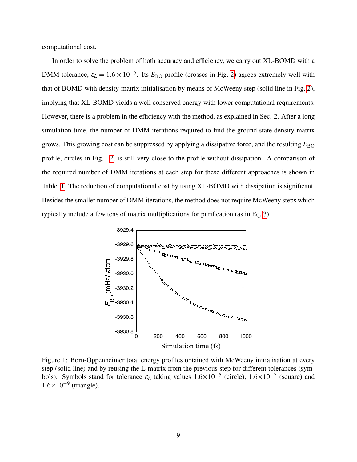computational cost.

In order to solve the problem of both accuracy and efficiency, we carry out XL-BOMD with a DMM tolerance,  $\varepsilon_L = 1.6 \times 10^{-5}$ . Its  $E_{\text{BO}}$  profile (crosses in Fig. [2\)](#page-9-1) agrees extremely well with that of BOMD with density-matrix initialisation by means of McWeeny step (solid line in Fig. [2\)](#page-9-1), implying that XL-BOMD yields a well conserved energy with lower computational requirements. However, there is a problem in the efficiency with the method, as explained in Sec. 2. After a long simulation time, the number of DMM iterations required to find the ground state density matrix grows. This growing cost can be suppressed by applying a dissipative force, and the resulting  $E_{\rm BO}$ profile, circles in Fig. [2,](#page-9-1) is still very close to the profile without dissipation. A comparison of the required number of DMM iterations at each step for these different approaches is shown in Table. [1.](#page-9-2) The reduction of computational cost by using XL-BOMD with dissipation is significant. Besides the smaller number of DMM iterations, the method does not require McWeeny steps which typically include a few tens of matrix multiplications for purification (as in Eq. [3\)](#page-4-0).

<span id="page-8-0"></span>

Figure 1: Born-Oppenheimer total energy profiles obtained with McWeeny initialisation at every step (solid line) and by reusing the L-matrix from the previous step for different tolerances (symbols). Symbols stand for tolerance  $\varepsilon_L$  taking values  $1.6 \times 10^{-5}$  (circle),  $1.6 \times 10^{-7}$  (square) and  $1.6\times10^{-9}$  (triangle).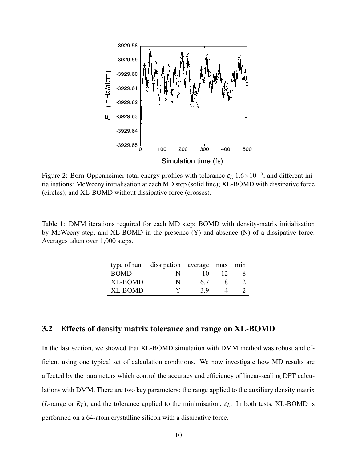<span id="page-9-1"></span>

Figure 2: Born-Oppenheimer total energy profiles with tolerance ε*<sup>L</sup>* 1.6×10−<sup>5</sup> , and different initialisations: McWeeny initialisation at each MD step (solid line); XL-BOMD with dissipative force (circles); and XL-BOMD without dissipative force (crosses).

<span id="page-9-2"></span>Table 1: DMM iterations required for each MD step; BOMD with density-matrix initialisation by McWeeny step, and XL-BOMD in the presence (Y) and absence (N) of a dissipative force. Averages taken over 1,000 steps.

|                | type of run dissipation average max min |     |  |
|----------------|-----------------------------------------|-----|--|
| <b>BOMD</b>    | N                                       | 10  |  |
| XL-BOMD        | N                                       | 6.7 |  |
| <b>XL-BOMD</b> | v                                       | 39  |  |

## <span id="page-9-0"></span>3.2 Effects of density matrix tolerance and range on XL-BOMD

In the last section, we showed that XL-BOMD simulation with DMM method was robust and efficient using one typical set of calculation conditions. We now investigate how MD results are affected by the parameters which control the accuracy and efficiency of linear-scaling DFT calculations with DMM. There are two key parameters: the range applied to the auxiliary density matrix (*L*-range or  $R_L$ ); and the tolerance applied to the minimisation,  $\varepsilon_L$ . In both tests, XL-BOMD is performed on a 64-atom crystalline silicon with a dissipative force.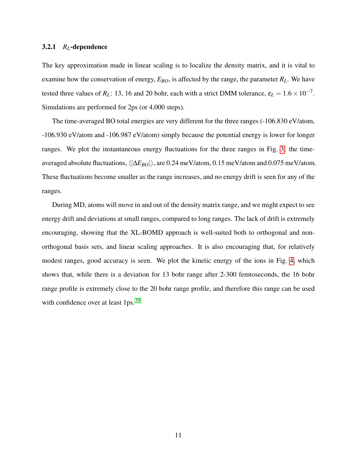#### 3.2.1 *RL*-dependence

The key approximation made in linear scaling is to localize the density matrix, and it is vital to examine how the conservation of energy,  $E_{BO}$ , is affected by the range, the parameter  $R_L$ . We have tested three values of  $R_L$ : 13, 16 and 20 bohr, each with a strict DMM tolerance,  $\varepsilon_L = 1.6 \times 10^{-7}$ . Simulations are performed for 2ps (or 4,000 steps).

The time-averaged BO total energies are very different for the three ranges (-106.830 eV/atom, -106.930 eV/atom and -106.987 eV/atom) simply because the potential energy is lower for longer ranges. We plot the instantaneous energy fluctuations for the three ranges in Fig. [3;](#page-11-0) the timeaveraged absolute fluctuations,  $\langle |\Delta E_{BO}| \rangle$ , are 0.24 meV/atom, 0.15 meV/atom and 0.075 meV/atom. These fluctuations become smaller as the range increases, and no energy drift is seen for any of the ranges.

During MD, atoms will move in and out of the density matrix range, and we might expect to see energy drift and deviations at small ranges, compared to long ranges. The lack of drift is extremely encouraging, showing that the XL-BOMD approach is well-suited both to orthogonal and nonorthogonal basis sets, and linear scaling approaches. It is also encouraging that, for relatively modest ranges, good accuracy is seen. We plot the kinetic energy of the ions in Fig. [4,](#page-12-0) which shows that, while there is a deviation for 13 bohr range after 2-300 femtoseconds, the 16 bohr range profile is extremely close to the 20 bohr range profile, and therefore this range can be used with confidence over at least  $1\text{ps}$ .  $35$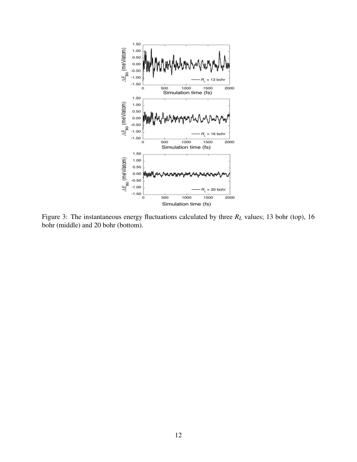<span id="page-11-0"></span>

Figure 3: The instantaneous energy fluctuations calculated by three *R<sup>L</sup>* values; 13 bohr (top), 16 bohr (middle) and 20 bohr (bottom).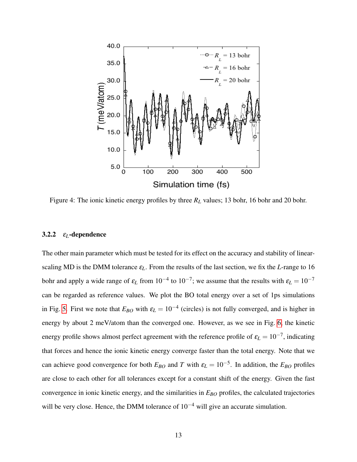<span id="page-12-0"></span>

Figure 4: The ionic kinetic energy profiles by three *R<sup>L</sup>* values; 13 bohr, 16 bohr and 20 bohr.

### 3.2.2 ε*L*-dependence

The other main parameter which must be tested for its effect on the accuracy and stability of linearscaling MD is the DMM tolerance ε*L*. From the results of the last section, we fix the *L*-range to 16 bohr and apply a wide range of  $\varepsilon_L$  from  $10^{-4}$  to  $10^{-7}$ ; we assume that the results with  $\varepsilon_L = 10^{-7}$ can be regarded as reference values. We plot the BO total energy over a set of 1ps simulations in Fig. [5.](#page-13-0) First we note that  $E_{BO}$  with  $\varepsilon_L = 10^{-4}$  (circles) is not fully converged, and is higher in energy by about 2 meV/atom than the converged one. However, as we see in Fig. [6,](#page-14-0) the kinetic energy profile shows almost perfect agreement with the reference profile of  $\varepsilon_L = 10^{-7}$ , indicating that forces and hence the ionic kinetic energy converge faster than the total energy. Note that we can achieve good convergence for both  $E_{BO}$  and *T* with  $\varepsilon_L = 10^{-5}$ . In addition, the  $E_{BO}$  profiles are close to each other for all tolerances except for a constant shift of the energy. Given the fast convergence in ionic kinetic energy, and the similarities in *EBO* profiles, the calculated trajectories will be very close. Hence, the DMM tolerance of  $10^{-4}$  will give an accurate simulation.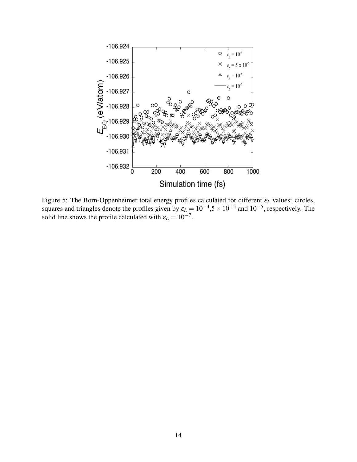<span id="page-13-0"></span>

Figure 5: The Born-Oppenheimer total energy profiles calculated for different ε*<sup>L</sup>* values: circles, squares and triangles denote the profiles given by  $\varepsilon_L = 10^{-4}$ ,5 × 10<sup>-5</sup> and 10<sup>-5</sup>, respectively. The solid line shows the profile calculated with  $\varepsilon_L = 10^{-7}$ .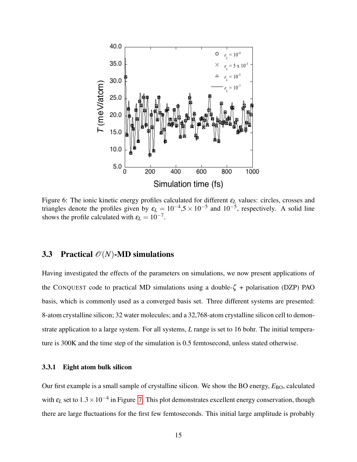<span id="page-14-0"></span>

Figure 6: The ionic kinetic energy profiles calculated for different ε*<sup>L</sup>* values: circles, crosses and triangles denote the profiles given by  $\varepsilon_L = 10^{-4}$ ,5 ×  $10^{-5}$  and  $10^{-5}$ , respectively. A solid line shows the profile calculated with  $\varepsilon_L = 10^{-7}$ .

## 3.3 Practical  $\mathcal{O}(N)$ -MD simulations

Having investigated the effects of the parameters on simulations, we now present applications of the CONQUEST code to practical MD simulations using a double- $\zeta$  + polarisation (DZP) PAO basis, which is commonly used as a converged basis set. Three different systems are presented: 8-atom crystalline silicon; 32 water molecules; and a 32,768-atom crystalline silicon cell to demonstrate application to a large system. For all systems, *L* range is set to 16 bohr. The initial temperature is 300K and the time step of the simulation is 0.5 femtosecond, unless stated otherwise.

#### 3.3.1 Eight atom bulk silicon

Our first example is a small sample of crystalline silicon. We show the BO energy,  $E_{\rm BO}$ , calculated with  $\varepsilon_L$  set to  $1.3 \times 10^{-4}$  in Figure [7.](#page-15-0) This plot demonstrates excellent energy conservation, though there are large fluctuations for the first few femtoseconds. This initial large amplitude is probably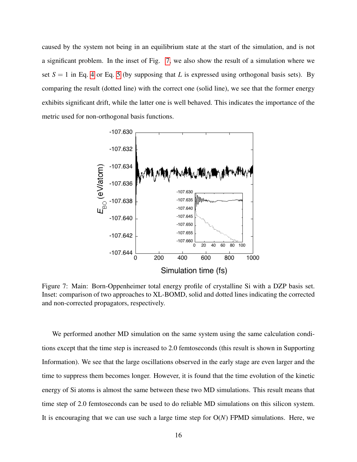caused by the system not being in an equilibrium state at the start of the simulation, and is not a significant problem. In the inset of Fig. [7,](#page-15-0) we also show the result of a simulation where we set  $S = 1$  in Eq. [4](#page-5-0) or Eq. [5](#page-5-1) (by supposing that *L* is expressed using orthogonal basis sets). By comparing the result (dotted line) with the correct one (solid line), we see that the former energy exhibits significant drift, while the latter one is well behaved. This indicates the importance of the metric used for non-orthogonal basis functions.

<span id="page-15-0"></span>

Figure 7: Main: Born-Oppenheimer total energy profile of crystalline Si with a DZP basis set. Inset: comparison of two approaches to XL-BOMD, solid and dotted lines indicating the corrected and non-corrected propagators, respectively.

We performed another MD simulation on the same system using the same calculation conditions except that the time step is increased to 2.0 femtoseconds (this result is shown in Supporting Information). We see that the large oscillations observed in the early stage are even larger and the time to suppress them becomes longer. However, it is found that the time evolution of the kinetic energy of Si atoms is almost the same between these two MD simulations. This result means that time step of 2.0 femtoseconds can be used to do reliable MD simulations on this silicon system. It is encouraging that we can use such a large time step for O(*N*) FPMD simulations. Here, we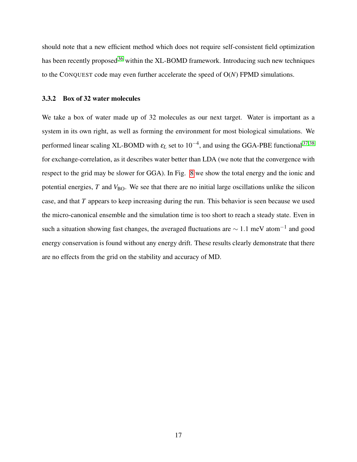should note that a new efficient method which does not require self-consistent field optimization has been recently proposed<sup>[36](#page-22-11)</sup> within the XL-BOMD framework. Introducing such new techniques to the CONQUEST code may even further accelerate the speed of O(*N*) FPMD simulations.

#### 3.3.2 Box of 32 water molecules

We take a box of water made up of 32 molecules as our next target. Water is important as a system in its own right, as well as forming the environment for most biological simulations. We performed linear scaling XL-BOMD with  $\varepsilon_L$  set to  $10^{-4}$ , and using the GGA-PBE functional<sup>[37,](#page-22-12)[38](#page-22-13)</sup> for exchange-correlation, as it describes water better than LDA (we note that the convergence with respect to the grid may be slower for GGA). In Fig. [8](#page-17-0) we show the total energy and the ionic and potential energies,  $T$  and  $V_{\rm BO}$ . We see that there are no initial large oscillations unlike the silicon case, and that *T* appears to keep increasing during the run. This behavior is seen because we used the micro-canonical ensemble and the simulation time is too short to reach a steady state. Even in such a situation showing fast changes, the averaged fluctuations are  $\sim 1.1$  meV atom<sup>-1</sup> and good energy conservation is found without any energy drift. These results clearly demonstrate that there are no effects from the grid on the stability and accuracy of MD.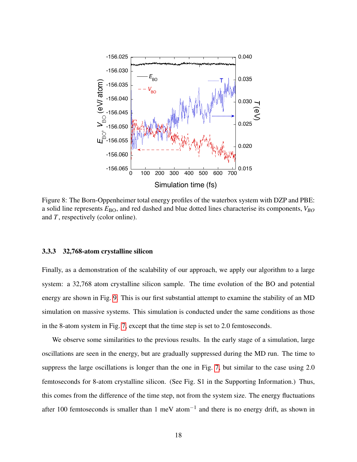<span id="page-17-0"></span>

Figure 8: The Born-Oppenheimer total energy profiles of the waterbox system with DZP and PBE: a solid line represents  $E_{BO}$ , and red dashed and blue dotted lines characterise its components,  $V_{BO}$ and *T*, respectively (color online).

#### 3.3.3 32,768-atom crystalline silicon

Finally, as a demonstration of the scalability of our approach, we apply our algorithm to a large system: a 32,768 atom crystalline silicon sample. The time evolution of the BO and potential energy are shown in Fig. [9.](#page-18-0) This is our first substantial attempt to examine the stability of an MD simulation on massive systems. This simulation is conducted under the same conditions as those in the 8-atom system in Fig. [7,](#page-15-0) except that the time step is set to 2.0 femtoseconds.

We observe some similarities to the previous results. In the early stage of a simulation, large oscillations are seen in the energy, but are gradually suppressed during the MD run. The time to suppress the large oscillations is longer than the one in Fig. [7,](#page-15-0) but similar to the case using 2.0 femtoseconds for 8-atom crystalline silicon. (See Fig. S1 in the Supporting Information.) Thus, this comes from the difference of the time step, not from the system size. The energy fluctuations after 100 femtoseconds is smaller than 1 meV atom<sup>-1</sup> and there is no energy drift, as shown in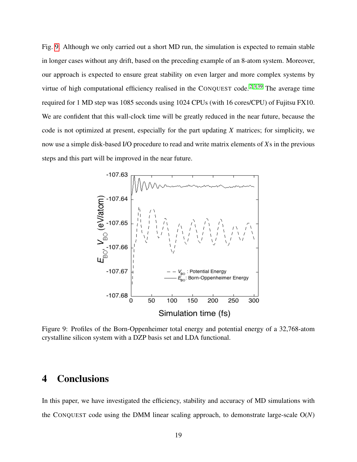Fig. [9.](#page-18-0) Although we only carried out a short MD run, the simulation is expected to remain stable in longer cases without any drift, based on the preceding example of an 8-atom system. Moreover, our approach is expected to ensure great stability on even larger and more complex systems by virtue of high computational efficiency realised in the CONQUEST code.<sup>[2,](#page-20-1)[3,](#page-20-2)[39](#page-23-0)</sup> The average time required for 1 MD step was 1085 seconds using 1024 CPUs (with 16 cores/CPU) of Fujitsu FX10. We are confident that this wall-clock time will be greatly reduced in the near future, because the code is not optimized at present, especially for the part updating *X* matrices; for simplicity, we now use a simple disk-based I/O procedure to read and write matrix elements of *X*s in the previous steps and this part will be improved in the near future.

<span id="page-18-0"></span>

Figure 9: Profiles of the Born-Oppenheimer total energy and potential energy of a 32,768-atom crystalline silicon system with a DZP basis set and LDA functional.

## 4 Conclusions

In this paper, we have investigated the efficiency, stability and accuracy of MD simulations with the CONQUEST code using the DMM linear scaling approach, to demonstrate large-scale O(*N*)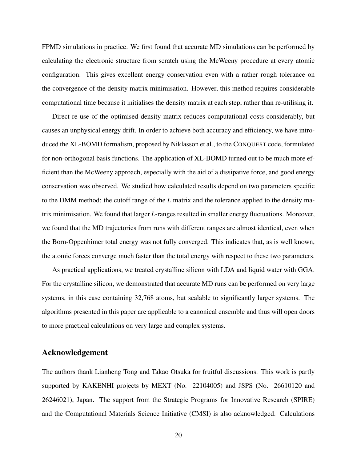FPMD simulations in practice. We first found that accurate MD simulations can be performed by calculating the electronic structure from scratch using the McWeeny procedure at every atomic configuration. This gives excellent energy conservation even with a rather rough tolerance on the convergence of the density matrix minimisation. However, this method requires considerable computational time because it initialises the density matrix at each step, rather than re-utilising it.

Direct re-use of the optimised density matrix reduces computational costs considerably, but causes an unphysical energy drift. In order to achieve both accuracy and efficiency, we have introduced the XL-BOMD formalism, proposed by Niklasson et al., to the CONQUEST code, formulated for non-orthogonal basis functions. The application of XL-BOMD turned out to be much more efficient than the McWeeny approach, especially with the aid of a dissipative force, and good energy conservation was observed. We studied how calculated results depend on two parameters specific to the DMM method: the cutoff range of the *L* matrix and the tolerance applied to the density matrix minimisation. We found that larger *L*-ranges resulted in smaller energy fluctuations. Moreover, we found that the MD trajectories from runs with different ranges are almost identical, even when the Born-Oppenhimer total energy was not fully converged. This indicates that, as is well known, the atomic forces converge much faster than the total energy with respect to these two parameters.

As practical applications, we treated crystalline silicon with LDA and liquid water with GGA. For the crystalline silicon, we demonstrated that accurate MD runs can be performed on very large systems, in this case containing 32,768 atoms, but scalable to significantly larger systems. The algorithms presented in this paper are applicable to a canonical ensemble and thus will open doors to more practical calculations on very large and complex systems.

## Acknowledgement

The authors thank Lianheng Tong and Takao Otsuka for fruitful discussions. This work is partly supported by KAKENHI projects by MEXT (No. 22104005) and JSPS (No. 26610120 and 26246021), Japan. The support from the Strategic Programs for Innovative Research (SPIRE) and the Computational Materials Science Initiative (CMSI) is also acknowledged. Calculations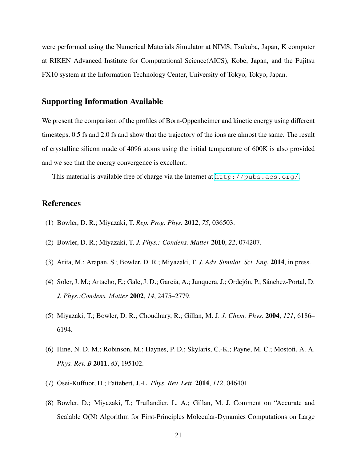were performed using the Numerical Materials Simulator at NIMS, Tsukuba, Japan, K computer at RIKEN Advanced Institute for Computational Science(AICS), Kobe, Japan, and the Fujitsu FX10 system at the Information Technology Center, University of Tokyo, Tokyo, Japan.

## Supporting Information Available

We present the comparison of the profiles of Born-Oppenheimer and kinetic energy using different timesteps, 0.5 fs and 2.0 fs and show that the trajectory of the ions are almost the same. The result of crystalline silicon made of 4096 atoms using the initial temperature of 600K is also provided and we see that the energy convergence is excellent.

This material is available free of charge via the Internet at  $http://pubs.acs.org/.$  $http://pubs.acs.org/.$ 

## References

- <span id="page-20-0"></span>(1) Bowler, D. R.; Miyazaki, T. *Rep. Prog. Phys.* 2012, *75*, 036503.
- <span id="page-20-1"></span>(2) Bowler, D. R.; Miyazaki, T. *J. Phys.: Condens. Matter* 2010, *22*, 074207.
- <span id="page-20-2"></span>(3) Arita, M.; Arapan, S.; Bowler, D. R.; Miyazaki, T. *J. Adv. Simulat. Sci. Eng.* 2014, in press.
- <span id="page-20-3"></span>(4) Soler, J. M.; Artacho, E.; Gale, J. D.; García, A.; Junquera, J.; Ordejón, P.; Sánchez-Portal, D. *J. Phys.:Condens. Matter* 2002, *14*, 2475–2779.
- <span id="page-20-6"></span>(5) Miyazaki, T.; Bowler, D. R.; Choudhury, R.; Gillan, M. J. *J. Chem. Phys.* 2004, *121*, 6186– 6194.
- (6) Hine, N. D. M.; Robinson, M.; Haynes, P. D.; Skylaris, C.-K.; Payne, M. C.; Mostofi, A. A. *Phys. Rev. B* 2011, *83*, 195102.
- <span id="page-20-4"></span>(7) Osei-Kuffuor, D.; Fattebert, J.-L. *Phys. Rev. Lett.* 2014, *112*, 046401.
- <span id="page-20-5"></span>(8) Bowler, D.; Miyazaki, T.; Truflandier, L. A.; Gillan, M. J. Comment on "Accurate and Scalable O(N) Algorithm for First-Principles Molecular-Dynamics Computations on Large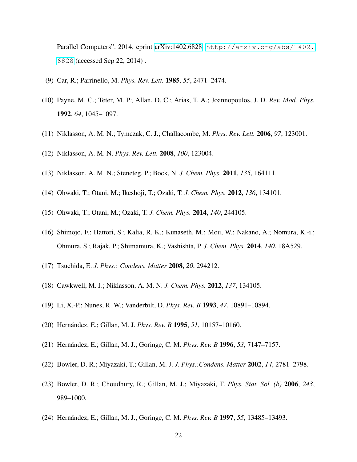Parallel Computers". 2014, eprint [arXiv:1402.6828,](http://arxiv.org/abs/1402.6828) [http://arxiv.org/abs/1402.](http://arxiv.org/abs/1402.6828) [6828](http://arxiv.org/abs/1402.6828) (accessed Sep 22, 2014) .

- <span id="page-21-0"></span>(9) Car, R.; Parrinello, M. *Phys. Rev. Lett.* 1985, *55*, 2471–2474.
- <span id="page-21-1"></span>(10) Payne, M. C.; Teter, M. P.; Allan, D. C.; Arias, T. A.; Joannopoulos, J. D. *Rev. Mod. Phys.* 1992, *64*, 1045–1097.
- <span id="page-21-2"></span>(11) Niklasson, A. M. N.; Tymczak, C. J.; Challacombe, M. *Phys. Rev. Lett.* 2006, *97*, 123001.
- <span id="page-21-12"></span>(12) Niklasson, A. M. N. *Phys. Rev. Lett.* 2008, *100*, 123004.
- <span id="page-21-3"></span>(13) Niklasson, A. M. N.; Steneteg, P.; Bock, N. *J. Chem. Phys.* 2011, *135*, 164111.
- <span id="page-21-4"></span>(14) Ohwaki, T.; Otani, M.; Ikeshoji, T.; Ozaki, T. *J. Chem. Phys.* 2012, *136*, 134101.
- (15) Ohwaki, T.; Otani, M.; Ozaki, T. *J. Chem. Phys.* 2014, *140*, 244105.
- (16) Shimojo, F.; Hattori, S.; Kalia, R. K.; Kunaseth, M.; Mou, W.; Nakano, A.; Nomura, K.-i.; Ohmura, S.; Rajak, P.; Shimamura, K.; Vashishta, P. *J. Chem. Phys.* 2014, *140*, 18A529.
- <span id="page-21-5"></span>(17) Tsuchida, E. *J. Phys.: Condens. Matter* 2008, *20*, 294212.
- <span id="page-21-6"></span>(18) Cawkwell, M. J.; Niklasson, A. M. N. *J. Chem. Phys.* 2012, *137*, 134105.
- <span id="page-21-7"></span>(19) Li, X.-P.; Nunes, R. W.; Vanderbilt, D. *Phys. Rev. B* 1993, *47*, 10891–10894.
- <span id="page-21-8"></span>(20) Hernández, E.; Gillan, M. J. *Phys. Rev. B* 1995, *51*, 10157–10160.
- <span id="page-21-9"></span>(21) Hernández, E.; Gillan, M. J.; Goringe, C. M. *Phys. Rev. B* 1996, *53*, 7147–7157.
- (22) Bowler, D. R.; Miyazaki, T.; Gillan, M. J. *J. Phys.:Condens. Matter* 2002, *14*, 2781–2798.
- <span id="page-21-10"></span>(23) Bowler, D. R.; Choudhury, R.; Gillan, M. J.; Miyazaki, T. *Phys. Stat. Sol. (b)* 2006, *243*, 989–1000.
- <span id="page-21-11"></span>(24) Hernández, E.; Gillan, M. J.; Goringe, C. M. *Phys. Rev. B* 1997, *55*, 13485–13493.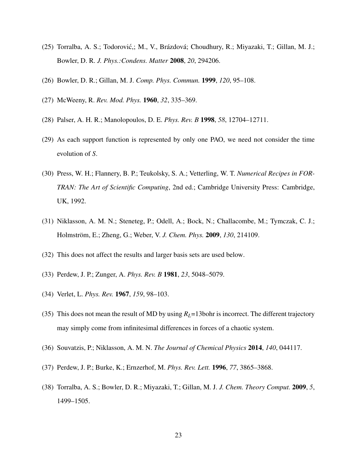- <span id="page-22-0"></span>(25) Torralba, A. S.; Todorovic,; M., V., Brázdová; Choudhury, R.; Miyazaki, T.; Gillan, M. J.; ´ Bowler, D. R. *J. Phys.:Condens. Matter* 2008, *20*, 294206.
- <span id="page-22-1"></span>(26) Bowler, D. R.; Gillan, M. J. *Comp. Phys. Commun.* 1999, *120*, 95–108.
- <span id="page-22-2"></span>(27) McWeeny, R. *Rev. Mod. Phys.* 1960, *32*, 335–369.
- <span id="page-22-3"></span>(28) Palser, A. H. R.; Manolopoulos, D. E. *Phys. Rev. B* 1998, *58*, 12704–12711.
- <span id="page-22-4"></span>(29) As each support function is represented by only one PAO, we need not consider the time evolution of *S*.
- <span id="page-22-5"></span>(30) Press, W. H.; Flannery, B. P.; Teukolsky, S. A.; Vetterling, W. T. *Numerical Recipes in FOR-TRAN: The Art of Scientific Computing*, 2nd ed.; Cambridge University Press: Cambridge, UK, 1992.
- <span id="page-22-6"></span>(31) Niklasson, A. M. N.; Steneteg, P.; Odell, A.; Bock, N.; Challacombe, M.; Tymczak, C. J.; Holmström, E.; Zheng, G.; Weber, V. *J. Chem. Phys.* 2009, *130*, 214109.
- <span id="page-22-7"></span>(32) This does not affect the results and larger basis sets are used below.
- <span id="page-22-8"></span>(33) Perdew, J. P.; Zunger, A. *Phys. Rev. B* 1981, *23*, 5048–5079.
- <span id="page-22-9"></span>(34) Verlet, L. *Phys. Rev.* 1967, *159*, 98–103.
- <span id="page-22-10"></span>(35) This does not mean the result of MD by using  $R_L$ =13bohr is incorrect. The different trajectory may simply come from infinitesimal differences in forces of a chaotic system.
- <span id="page-22-11"></span>(36) Souvatzis, P.; Niklasson, A. M. N. *The Journal of Chemical Physics* 2014, *140*, 044117.
- <span id="page-22-12"></span>(37) Perdew, J. P.; Burke, K.; Ernzerhof, M. *Phys. Rev. Lett.* 1996, *77*, 3865–3868.
- <span id="page-22-13"></span>(38) Torralba, A. S.; Bowler, D. R.; Miyazaki, T.; Gillan, M. J. *J. Chem. Theory Comput.* 2009, *5*, 1499–1505.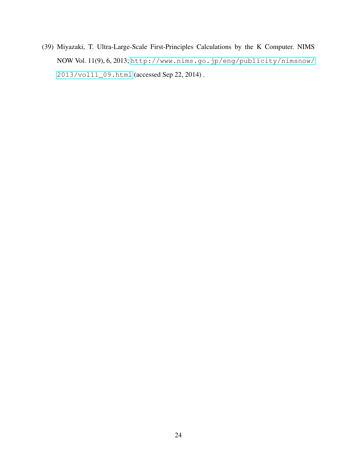<span id="page-23-0"></span>(39) Miyazaki, T. Ultra-Large-Scale First-Principles Calculations by the K Computer. NIMS NOW Vol. 11(9), 6, 2013; [http://www.nims.go.jp/eng/publicity/nimsnow/](http://www.nims.go.jp/eng/publicity/nimsnow/2013/vol11_09.html) [2013/vol11\\_09.html](http://www.nims.go.jp/eng/publicity/nimsnow/2013/vol11_09.html) (accessed Sep 22, 2014) .